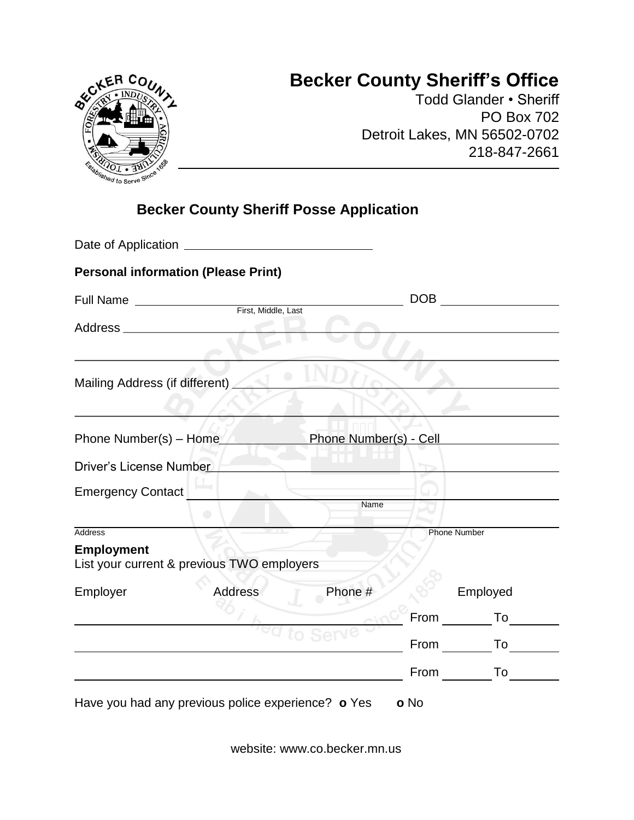## **Becker County Sheriff's Office**



Todd Glander • Sheriff PO Box 702 Detroit Lakes, MN 56502-0702 218-847-2661

## **Becker County Sheriff Posse Application**

|                                | <b>Personal information (Please Print)</b> |                        |                     |          |  |
|--------------------------------|--------------------------------------------|------------------------|---------------------|----------|--|
| <b>Full Name</b>               | First, Middle, Last                        |                        | DOB                 |          |  |
|                                |                                            |                        |                     |          |  |
|                                |                                            |                        |                     |          |  |
| Mailing Address (if different) |                                            |                        |                     |          |  |
|                                |                                            |                        |                     |          |  |
| Phone Number(s) - Home         |                                            | Phone Number(s) - Cell |                     |          |  |
| Driver's License Number        |                                            |                        |                     |          |  |
| <b>Emergency Contact</b>       |                                            |                        |                     |          |  |
|                                | 0                                          | Name                   |                     |          |  |
| <b>Address</b>                 |                                            |                        | <b>Phone Number</b> |          |  |
| <b>Employment</b>              | List your current & previous TWO employers |                        |                     |          |  |
| Employer                       | Address                                    | Phone #                |                     | Employed |  |
|                                |                                            |                        |                     | From To  |  |
|                                |                                            |                        | From                | To       |  |
|                                |                                            |                        | <b>From</b>         | To       |  |

website: www.co.becker.mn.us